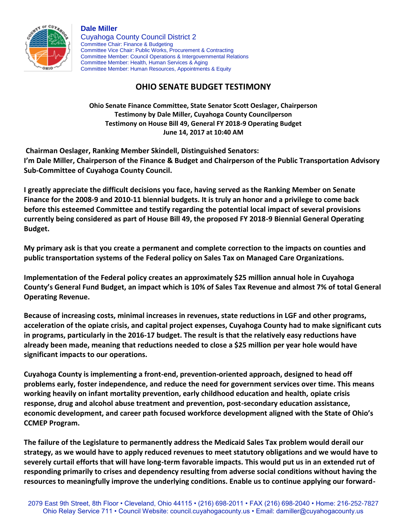

**Dale Miller** Cuyahoga County Council District 2 Committee Chair: Finance & Budgeting Committee Vice Chair: Public Works, Procurement & Contracting Committee Member: Council Operations & Intergovernmental Relations Committee Member: Health, Human Services & Aging Committee Member: Human Resources, Appointments & Equity

## **OHIO SENATE BUDGET TESTIMONY**

**Ohio Senate Finance Committee, State Senator Scott Oeslager, Chairperson Testimony by Dale Miller, Cuyahoga County Councilperson Testimony on House Bill 49, General FY 2018-9 Operating Budget June 14, 2017 at 10:40 AM**

**Chairman Oeslager, Ranking Member Skindell, Distinguished Senators: I'm Dale Miller, Chairperson of the Finance & Budget and Chairperson of the Public Transportation Advisory Sub-Committee of Cuyahoga County Council.**

**I greatly appreciate the difficult decisions you face, having served as the Ranking Member on Senate Finance for the 2008-9 and 2010-11 biennial budgets. It is truly an honor and a privilege to come back before this esteemed Committee and testify regarding the potential local impact of several provisions currently being considered as part of House Bill 49, the proposed FY 2018-9 Biennial General Operating Budget.**

**My primary ask is that you create a permanent and complete correction to the impacts on counties and public transportation systems of the Federal policy on Sales Tax on Managed Care Organizations.**

**Implementation of the Federal policy creates an approximately \$25 million annual hole in Cuyahoga County's General Fund Budget, an impact which is 10% of Sales Tax Revenue and almost 7% of total General Operating Revenue.**

**Because of increasing costs, minimal increases in revenues, state reductions in LGF and other programs, acceleration of the opiate crisis, and capital project expenses, Cuyahoga County had to make significant cuts in programs, particularly in the 2016-17 budget. The result is that the relatively easy reductions have already been made, meaning that reductions needed to close a \$25 million per year hole would have significant impacts to our operations.**

**Cuyahoga County is implementing a front-end, prevention-oriented approach, designed to head off problems early, foster independence, and reduce the need for government services over time. This means working heavily on infant mortality prevention, early childhood education and health, opiate crisis response, drug and alcohol abuse treatment and prevention, post-secondary education assistance, economic development, and career path focused workforce development aligned with the State of Ohio's CCMEP Program.**

**The failure of the Legislature to permanently address the Medicaid Sales Tax problem would derail our strategy, as we would have to apply reduced revenues to meet statutory obligations and we would have to severely curtail efforts that will have long-term favorable impacts. This would put us in an extended rut of responding primarily to crises and dependency resulting from adverse social conditions without having the resources to meaningfully improve the underlying conditions. Enable us to continue applying our forward-**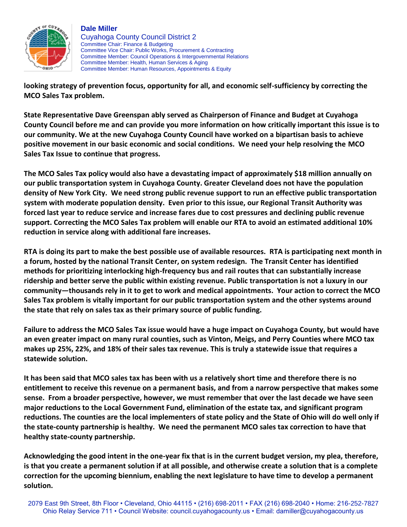

## **Dale Miller**

Cuyahoga County Council District 2 Committee Chair: Finance & Budgeting Committee Vice Chair: Public Works, Procurement & Contracting Committee Member: Council Operations & Intergovernmental Relations Committee Member: Health, Human Services & Aging Committee Member: Human Resources, Appointments & Equity

**looking strategy of prevention focus, opportunity for all, and economic self-sufficiency by correcting the MCO Sales Tax problem.**

**State Representative Dave Greenspan ably served as Chairperson of Finance and Budget at Cuyahoga County Council before me and can provide you more information on how critically important this issue is to our community. We at the new Cuyahoga County Council have worked on a bipartisan basis to achieve positive movement in our basic economic and social conditions. We need your help resolving the MCO Sales Tax Issue to continue that progress.**

**The MCO Sales Tax policy would also have a devastating impact of approximately \$18 million annually on our public transportation system in Cuyahoga County. Greater Cleveland does not have the population density of New York City. We need strong public revenue support to run an effective public transportation system with moderate population density. Even prior to this issue, our Regional Transit Authority was forced last year to reduce service and increase fares due to cost pressures and declining public revenue support. Correcting the MCO Sales Tax problem will enable our RTA to avoid an estimated additional 10% reduction in service along with additional fare increases.**

**RTA is doing its part to make the best possible use of available resources. RTA is participating next month in a forum, hosted by the national Transit Center, on system redesign. The Transit Center has identified methods for prioritizing interlocking high-frequency bus and rail routes that can substantially increase ridership and better serve the public within existing revenue. Public transportation is not a luxury in our community—thousands rely in it to get to work and medical appointments. Your action to correct the MCO Sales Tax problem is vitally important for our public transportation system and the other systems around the state that rely on sales tax as their primary source of public funding.**

**Failure to address the MCO Sales Tax issue would have a huge impact on Cuyahoga County, but would have an even greater impact on many rural counties, such as Vinton, Meigs, and Perry Counties where MCO tax makes up 25%, 22%, and 18% of their sales tax revenue. This is truly a statewide issue that requires a statewide solution.**

**It has been said that MCO sales tax has been with us a relatively short time and therefore there is no entitlement to receive this revenue on a permanent basis, and from a narrow perspective that makes some sense. From a broader perspective, however, we must remember that over the last decade we have seen major reductions to the Local Government Fund, elimination of the estate tax, and significant program reductions. The counties are the local implementers of state policy and the State of Ohio will do well only if the state-county partnership is healthy. We need the permanent MCO sales tax correction to have that healthy state-county partnership.**

**Acknowledging the good intent in the one-year fix that is in the current budget version, my plea, therefore, is that you create a permanent solution if at all possible, and otherwise create a solution that is a complete correction for the upcoming biennium, enabling the next legislature to have time to develop a permanent solution.**